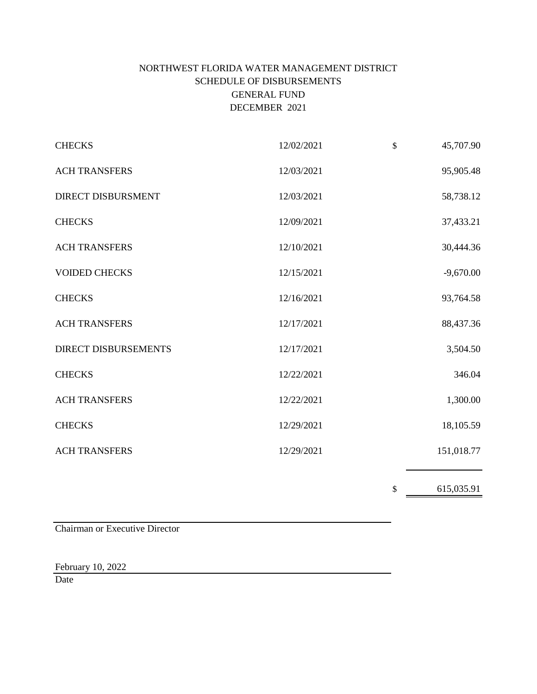# NORTHWEST FLORIDA WATER MANAGEMENT DISTRICT SCHEDULE OF DISBURSEMENTS GENERAL FUND DECEMBER 2021

| <b>CHECKS</b>             | 12/02/2021 | \$<br>45,707.90  |
|---------------------------|------------|------------------|
| <b>ACH TRANSFERS</b>      | 12/03/2021 | 95,905.48        |
| <b>DIRECT DISBURSMENT</b> | 12/03/2021 | 58,738.12        |
| <b>CHECKS</b>             | 12/09/2021 | 37,433.21        |
| <b>ACH TRANSFERS</b>      | 12/10/2021 | 30,444.36        |
| <b>VOIDED CHECKS</b>      | 12/15/2021 | $-9,670.00$      |
| <b>CHECKS</b>             | 12/16/2021 | 93,764.58        |
| <b>ACH TRANSFERS</b>      | 12/17/2021 | 88,437.36        |
| DIRECT DISBURSEMENTS      | 12/17/2021 | 3,504.50         |
| <b>CHECKS</b>             | 12/22/2021 | 346.04           |
| <b>ACH TRANSFERS</b>      | 12/22/2021 | 1,300.00         |
| <b>CHECKS</b>             | 12/29/2021 | 18,105.59        |
| <b>ACH TRANSFERS</b>      | 12/29/2021 | 151,018.77       |
|                           |            | \$<br>615,035.91 |

Chairman or Executive Director

February 10, 2022

Date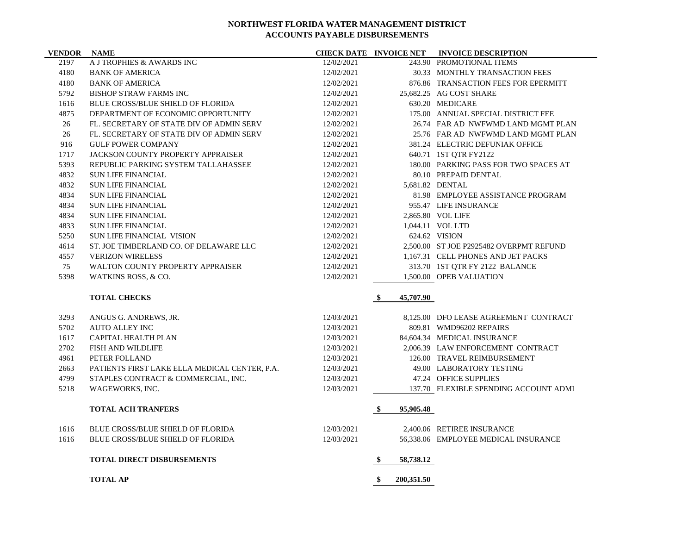| <b>VENDOR NAME</b> |                                               |            |                  | <b>CHECK DATE INVOICE NET INVOICE DESCRIPTION</b> |
|--------------------|-----------------------------------------------|------------|------------------|---------------------------------------------------|
| 2197               | A J TROPHIES & AWARDS INC                     | 12/02/2021 |                  | 243.90 PROMOTIONAL ITEMS                          |
| 4180               | <b>BANK OF AMERICA</b>                        | 12/02/2021 |                  | 30.33 MONTHLY TRANSACTION FEES                    |
| 4180               | <b>BANK OF AMERICA</b>                        | 12/02/2021 |                  | 876.86 TRANSACTION FEES FOR EPERMITT              |
| 5792               | <b>BISHOP STRAW FARMS INC</b>                 | 12/02/2021 |                  | 25,682.25 AG COST SHARE                           |
| 1616               | <b>BLUE CROSS/BLUE SHIELD OF FLORIDA</b>      | 12/02/2021 |                  | 630.20 MEDICARE                                   |
| 4875               | DEPARTMENT OF ECONOMIC OPPORTUNITY            | 12/02/2021 |                  | 175.00 ANNUAL SPECIAL DISTRICT FEE                |
| 26                 | FL. SECRETARY OF STATE DIV OF ADMIN SERV      | 12/02/2021 |                  | 26.74 FAR AD NWFWMD LAND MGMT PLAN                |
| 26                 | FL. SECRETARY OF STATE DIV OF ADMIN SERV      | 12/02/2021 |                  | 25.76 FAR AD NWFWMD LAND MGMT PLAN                |
| 916                | <b>GULF POWER COMPANY</b>                     | 12/02/2021 |                  | 381.24 ELECTRIC DEFUNIAK OFFICE                   |
| 1717               | JACKSON COUNTY PROPERTY APPRAISER             | 12/02/2021 |                  | 640.71 1ST QTR FY2122                             |
| 5393               | REPUBLIC PARKING SYSTEM TALLAHASSEE           | 12/02/2021 |                  | 180.00 PARKING PASS FOR TWO SPACES AT             |
| 4832               | <b>SUN LIFE FINANCIAL</b>                     | 12/02/2021 |                  | 80.10 PREPAID DENTAL                              |
| 4832               | <b>SUN LIFE FINANCIAL</b>                     | 12/02/2021 |                  | 5,681.82 DENTAL                                   |
| 4834               | <b>SUN LIFE FINANCIAL</b>                     | 12/02/2021 |                  | 81.98 EMPLOYEE ASSISTANCE PROGRAM                 |
| 4834               | <b>SUN LIFE FINANCIAL</b>                     | 12/02/2021 |                  | 955.47 LIFE INSURANCE                             |
| 4834               | <b>SUN LIFE FINANCIAL</b>                     | 12/02/2021 |                  | 2,865.80 VOL LIFE                                 |
| 4833               | <b>SUN LIFE FINANCIAL</b>                     | 12/02/2021 |                  | 1,044.11 VOL LTD                                  |
| 5250               | <b>SUN LIFE FINANCIAL VISION</b>              | 12/02/2021 |                  | 624.62 VISION                                     |
| 4614               | ST. JOE TIMBERLAND CO. OF DELAWARE LLC        | 12/02/2021 |                  | 2,500.00 ST JOE P2925482 OVERPMT REFUND           |
| 4557               | <b>VERIZON WIRELESS</b>                       | 12/02/2021 |                  | 1,167.31 CELL PHONES AND JET PACKS                |
| 75                 | WALTON COUNTY PROPERTY APPRAISER              | 12/02/2021 |                  | 313.70 1ST QTR FY 2122 BALANCE                    |
| 5398               | WATKINS ROSS, & CO.                           | 12/02/2021 |                  | 1,500.00 OPEB VALUATION                           |
|                    | <b>TOTAL CHECKS</b>                           |            | 45,707.90<br>-\$ |                                                   |
| 3293               | ANGUS G. ANDREWS, JR.                         | 12/03/2021 |                  | 8,125.00 DFO LEASE AGREEMENT CONTRACT             |
| 5702               | <b>AUTO ALLEY INC</b>                         | 12/03/2021 |                  | 809.81 WMD96202 REPAIRS                           |
| 1617               | <b>CAPITAL HEALTH PLAN</b>                    | 12/03/2021 |                  | 84,604.34 MEDICAL INSURANCE                       |
| 2702               | <b>FISH AND WILDLIFE</b>                      | 12/03/2021 |                  | 2,006.39 LAW ENFORCEMENT CONTRACT                 |
| 4961               | PETER FOLLAND                                 | 12/03/2021 |                  | 126.00 TRAVEL REIMBURSEMENT                       |
| 2663               | PATIENTS FIRST LAKE ELLA MEDICAL CENTER, P.A. | 12/03/2021 |                  | 49.00 LABORATORY TESTING                          |
| 4799               | STAPLES CONTRACT & COMMERCIAL, INC.           | 12/03/2021 |                  | 47.24 OFFICE SUPPLIES                             |
| 5218               | WAGEWORKS, INC.                               | 12/03/2021 |                  | 137.70 FLEXIBLE SPENDING ACCOUNT ADMI             |
|                    | <b>TOTAL ACH TRANFERS</b>                     |            | 95,905.48<br>-S  |                                                   |
| 1616               | <b>BLUE CROSS/BLUE SHIELD OF FLORIDA</b>      | 12/03/2021 |                  | 2,400.06 RETIREE INSURANCE                        |
| 1616               | <b>BLUE CROSS/BLUE SHIELD OF FLORIDA</b>      | 12/03/2021 |                  | 56,338.06 EMPLOYEE MEDICAL INSURANCE              |
|                    | <b>TOTAL DIRECT DISBURSEMENTS</b>             |            | 58,738.12<br>\$  |                                                   |
|                    | <b>TOTAL AP</b>                               |            | \$<br>200,351.50 |                                                   |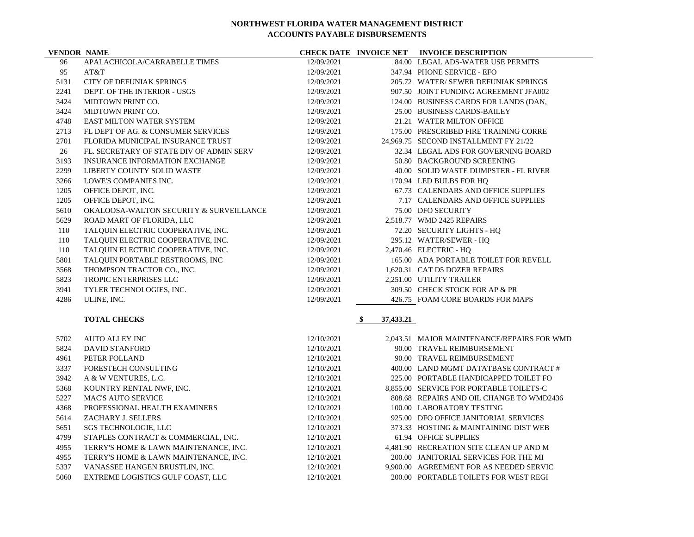| <b>VENDOR NAME</b> |                                          |            |                  | CHECK DATE INVOICE NET INVOICE DESCRIPTION |
|--------------------|------------------------------------------|------------|------------------|--------------------------------------------|
| 96                 | APALACHICOLA/CARRABELLE TIMES            | 12/09/2021 |                  | 84.00 LEGAL ADS-WATER USE PERMITS          |
| 95                 | AT&T                                     | 12/09/2021 |                  | 347.94 PHONE SERVICE - EFO                 |
| 5131               | <b>CITY OF DEFUNIAK SPRINGS</b>          | 12/09/2021 |                  | 205.72 WATER/ SEWER DEFUNIAK SPRINGS       |
| 2241               | DEPT. OF THE INTERIOR - USGS             | 12/09/2021 |                  | 907.50 JOINT FUNDING AGREEMENT JFA002      |
| 3424               | MIDTOWN PRINT CO.                        | 12/09/2021 |                  | 124.00 BUSINESS CARDS FOR LANDS (DAN,      |
| 3424               | MIDTOWN PRINT CO.                        | 12/09/2021 |                  | 25.00 BUSINESS CARDS-BAILEY                |
| 4748               | <b>EAST MILTON WATER SYSTEM</b>          | 12/09/2021 |                  | 21.21 WATER MILTON OFFICE                  |
| 2713               | FL DEPT OF AG. & CONSUMER SERVICES       | 12/09/2021 |                  | 175.00 PRESCRIBED FIRE TRAINING CORRE      |
| 2701               | FLORIDA MUNICIPAL INSURANCE TRUST        | 12/09/2021 |                  | 24,969.75 SECOND INSTALLMENT FY 21/22      |
| 26                 | FL. SECRETARY OF STATE DIV OF ADMIN SERV | 12/09/2021 |                  | 32.34 LEGAL ADS FOR GOVERNING BOARD        |
| 3193               | <b>INSURANCE INFORMATION EXCHANGE</b>    | 12/09/2021 |                  | 50.80 BACKGROUND SCREENING                 |
| 2299               | LIBERTY COUNTY SOLID WASTE               | 12/09/2021 |                  | 40.00 SOLID WASTE DUMPSTER - FL RIVER      |
| 3266               | LOWE'S COMPANIES INC.                    | 12/09/2021 |                  | 170.94 LED BULBS FOR HQ                    |
| 1205               | OFFICE DEPOT, INC.                       | 12/09/2021 |                  | 67.73 CALENDARS AND OFFICE SUPPLIES        |
| 1205               | OFFICE DEPOT, INC.                       | 12/09/2021 |                  | 7.17 CALENDARS AND OFFICE SUPPLIES         |
| 5610               | OKALOOSA-WALTON SECURITY & SURVEILLANCE  | 12/09/2021 |                  | 75.00 DFO SECURITY                         |
| 5629               | ROAD MART OF FLORIDA, LLC                | 12/09/2021 |                  | 2,518.77 WMD 2425 REPAIRS                  |
| 110                | TALQUIN ELECTRIC COOPERATIVE, INC.       | 12/09/2021 |                  | 72.20 SECURITY LIGHTS - HQ                 |
| 110                | TALQUIN ELECTRIC COOPERATIVE, INC.       | 12/09/2021 |                  | 295.12 WATER/SEWER - HO                    |
| 110                | TALQUIN ELECTRIC COOPERATIVE, INC.       | 12/09/2021 |                  | 2,470.46 ELECTRIC - HQ                     |
| 5801               | TALQUIN PORTABLE RESTROOMS, INC          | 12/09/2021 |                  | 165.00 ADA PORTABLE TOILET FOR REVELL      |
| 3568               | THOMPSON TRACTOR CO., INC.               | 12/09/2021 |                  | 1.620.31 CAT D5 DOZER REPAIRS              |
| 5823               | TROPIC ENTERPRISES LLC                   | 12/09/2021 |                  | 2,251.00 UTILITY TRAILER                   |
| 3941               | TYLER TECHNOLOGIES, INC.                 | 12/09/2021 |                  | 309.50 CHECK STOCK FOR AP & PR             |
| 4286               | ULINE, INC.                              | 12/09/2021 |                  | 426.75 FOAM CORE BOARDS FOR MAPS           |
|                    | <b>TOTAL CHECKS</b>                      |            | -\$<br>37,433.21 |                                            |
| 5702               | <b>AUTO ALLEY INC</b>                    | 12/10/2021 |                  | 2,043.51 MAJOR MAINTENANCE/REPAIRS FOR WMD |
| 5824               | <b>DAVID STANFORD</b>                    | 12/10/2021 |                  | 90.00 TRAVEL REIMBURSEMENT                 |
| 4961               | PETER FOLLAND                            | 12/10/2021 |                  | 90.00 TRAVEL REIMBURSEMENT                 |
| 3337               | FORESTECH CONSULTING                     | 12/10/2021 |                  | 400.00 LAND MGMT DATATBASE CONTRACT #      |
| 3942               | A & W VENTURES, L.C.                     | 12/10/2021 |                  | 225.00 PORTABLE HANDICAPPED TOILET FO      |
| 5368               | KOUNTRY RENTAL NWF, INC.                 | 12/10/2021 |                  | 8,855.00 SERVICE FOR PORTABLE TOILETS-C    |
| 5227               | <b>MAC'S AUTO SERVICE</b>                | 12/10/2021 |                  | 808.68 REPAIRS AND OIL CHANGE TO WMD2436   |
| 4368               | PROFESSIONAL HEALTH EXAMINERS            | 12/10/2021 |                  | 100.00 LABORATORY TESTING                  |
| 5614               | ZACHARY J. SELLERS                       | 12/10/2021 |                  | 925.00 DFO OFFICE JANITORIAL SERVICES      |
| 5651               | SGS TECHNOLOGIE, LLC                     | 12/10/2021 |                  | 373.33 HOSTING & MAINTAINING DIST WEB      |
| 4799               | STAPLES CONTRACT & COMMERCIAL, INC.      | 12/10/2021 |                  | 61.94 OFFICE SUPPLIES                      |
| 4955               | TERRY'S HOME & LAWN MAINTENANCE, INC.    | 12/10/2021 |                  | 4,481.90 RECREATION SITE CLEAN UP AND M    |
| 4955               | TERRY'S HOME & LAWN MAINTENANCE, INC.    | 12/10/2021 |                  | 200.00 JANITORIAL SERVICES FOR THE MI      |
| 5337               | VANASSEE HANGEN BRUSTLIN, INC.           | 12/10/2021 |                  | 9.900.00 AGREEMENT FOR AS NEEDED SERVIC    |
|                    |                                          |            |                  |                                            |

EXTREME LOGISTICS GULF COAST, LLC 12/10/2021 200.00 PORTABLE TOILETS FOR WEST REGI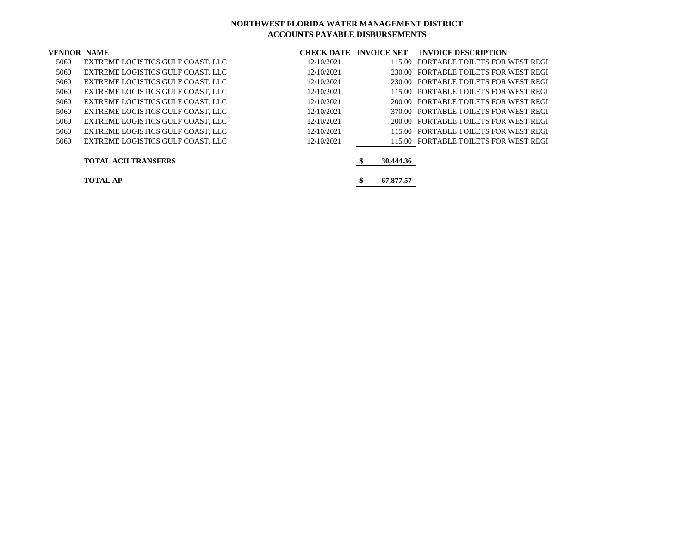| <b>VENDOR NAME</b> |                                   | <b>CHECK DATE INVOICE NET</b> |           | <b>INVOICE DESCRIPTION</b>            |
|--------------------|-----------------------------------|-------------------------------|-----------|---------------------------------------|
| 5060               | EXTREME LOGISTICS GULF COAST. LLC | 12/10/2021                    |           | 115.00 PORTABLE TOILETS FOR WEST REGI |
| 5060               | EXTREME LOGISTICS GULF COAST. LLC | 12/10/2021                    |           | 230.00 PORTABLE TOILETS FOR WEST REGI |
| 5060               | EXTREME LOGISTICS GULF COAST, LLC | 12/10/2021                    |           | 230.00 PORTABLE TOILETS FOR WEST REGI |
| 5060               | EXTREME LOGISTICS GULF COAST, LLC | 12/10/2021                    |           | 115.00 PORTABLE TOILETS FOR WEST REGI |
| 5060               | EXTREME LOGISTICS GULF COAST, LLC | 12/10/2021                    |           | 200.00 PORTABLE TOILETS FOR WEST REGI |
| 5060               | EXTREME LOGISTICS GULF COAST, LLC | 12/10/2021                    |           | 370.00 PORTABLE TOILETS FOR WEST REGI |
| 5060               | EXTREME LOGISTICS GULF COAST. LLC | 12/10/2021                    |           | 200.00 PORTABLE TOILETS FOR WEST REGI |
| 5060               | EXTREME LOGISTICS GULF COAST. LLC | 12/10/2021                    |           | 115.00 PORTABLE TOILETS FOR WEST REGI |
| 5060               | EXTREME LOGISTICS GULF COAST. LLC | 12/10/2021                    |           | 115.00 PORTABLE TOILETS FOR WEST REGI |
|                    | <b>TOTAL ACH TRANSFERS</b>        |                               | 30,444.36 |                                       |
|                    | <b>TOTAL AP</b>                   |                               | 67,877.57 |                                       |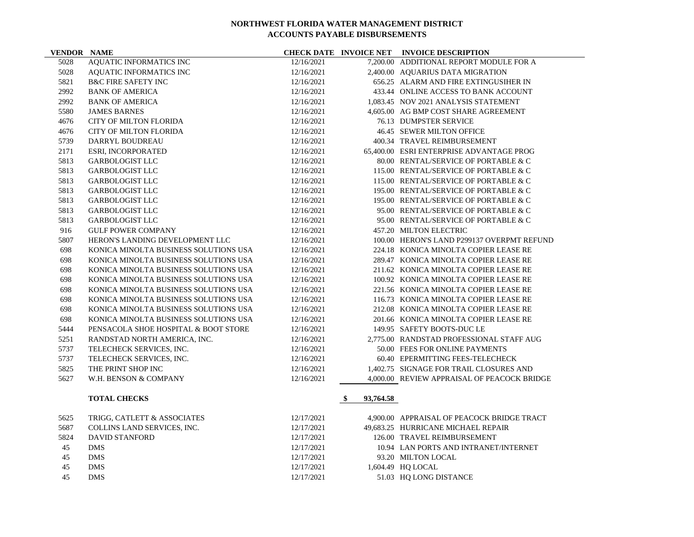**VENDOR NAME CHECK DATE INVOICE NET INVOICE DESCRIPTION**

| 5028 | <b>AQUATIC INFORMATICS INC</b>        | 12/16/2021 |                 | 7,200.00 ADDITIONAL REPORT MODULE FOR A     |
|------|---------------------------------------|------------|-----------------|---------------------------------------------|
| 5028 | AQUATIC INFORMATICS INC               | 12/16/2021 |                 | 2,400.00 AQUARIUS DATA MIGRATION            |
| 5821 | <b>B&amp;C FIRE SAFETY INC</b>        | 12/16/2021 |                 | 656.25 ALARM AND FIRE EXTINGUSIHER IN       |
| 2992 | <b>BANK OF AMERICA</b>                | 12/16/2021 |                 | 433.44 ONLINE ACCESS TO BANK ACCOUNT        |
| 2992 | <b>BANK OF AMERICA</b>                | 12/16/2021 |                 | 1,083.45 NOV 2021 ANALYSIS STATEMENT        |
| 5580 | <b>JAMES BARNES</b>                   | 12/16/2021 |                 | 4,605.00 AG BMP COST SHARE AGREEMENT        |
| 4676 | <b>CITY OF MILTON FLORIDA</b>         | 12/16/2021 |                 | 76.13 DUMPSTER SERVICE                      |
| 4676 | <b>CITY OF MILTON FLORIDA</b>         | 12/16/2021 |                 | 46.45 SEWER MILTON OFFICE                   |
| 5739 | DARRYL BOUDREAU                       | 12/16/2021 |                 | 400.34 TRAVEL REIMBURSEMENT                 |
| 2171 | ESRI, INCORPORATED                    | 12/16/2021 |                 | 65,400.00 ESRI ENTERPRISE ADVANTAGE PROG    |
| 5813 | <b>GARBOLOGIST LLC</b>                | 12/16/2021 |                 | 80.00 RENTAL/SERVICE OF PORTABLE & C        |
| 5813 | <b>GARBOLOGIST LLC</b>                | 12/16/2021 |                 | 115.00 RENTAL/SERVICE OF PORTABLE & C       |
| 5813 | <b>GARBOLOGIST LLC</b>                | 12/16/2021 |                 | 115.00 RENTAL/SERVICE OF PORTABLE & C       |
| 5813 | <b>GARBOLOGIST LLC</b>                | 12/16/2021 |                 | 195.00 RENTAL/SERVICE OF PORTABLE & C       |
| 5813 | <b>GARBOLOGIST LLC</b>                | 12/16/2021 |                 | 195.00 RENTAL/SERVICE OF PORTABLE & C       |
| 5813 | <b>GARBOLOGIST LLC</b>                | 12/16/2021 |                 | 95.00 RENTAL/SERVICE OF PORTABLE & C        |
| 5813 | <b>GARBOLOGIST LLC</b>                | 12/16/2021 |                 | 95.00 RENTAL/SERVICE OF PORTABLE & C        |
| 916  | <b>GULF POWER COMPANY</b>             | 12/16/2021 |                 | 457.20 MILTON ELECTRIC                      |
| 5807 | HERON'S LANDING DEVELOPMENT LLC       | 12/16/2021 |                 | 100.00 HERON'S LAND P299137 OVERPMT REFUND  |
| 698  | KONICA MINOLTA BUSINESS SOLUTIONS USA | 12/16/2021 |                 | 224.18 KONICA MINOLTA COPIER LEASE RE       |
| 698  | KONICA MINOLTA BUSINESS SOLUTIONS USA | 12/16/2021 |                 | 289.47 KONICA MINOLTA COPIER LEASE RE       |
| 698  | KONICA MINOLTA BUSINESS SOLUTIONS USA | 12/16/2021 |                 | 211.62 KONICA MINOLTA COPIER LEASE RE       |
| 698  | KONICA MINOLTA BUSINESS SOLUTIONS USA | 12/16/2021 |                 | 100.92 KONICA MINOLTA COPIER LEASE RE       |
| 698  | KONICA MINOLTA BUSINESS SOLUTIONS USA | 12/16/2021 |                 | 221.56 KONICA MINOLTA COPIER LEASE RE       |
| 698  | KONICA MINOLTA BUSINESS SOLUTIONS USA | 12/16/2021 |                 | 116.73 KONICA MINOLTA COPIER LEASE RE       |
| 698  | KONICA MINOLTA BUSINESS SOLUTIONS USA | 12/16/2021 |                 | 212.08 KONICA MINOLTA COPIER LEASE RE       |
| 698  | KONICA MINOLTA BUSINESS SOLUTIONS USA | 12/16/2021 |                 | 201.66 KONICA MINOLTA COPIER LEASE RE       |
| 5444 | PENSACOLA SHOE HOSPITAL & BOOT STORE  | 12/16/2021 |                 | 149.95 SAFETY BOOTS-DUC LE                  |
| 5251 | RANDSTAD NORTH AMERICA, INC.          | 12/16/2021 |                 | 2,775.00 RANDSTAD PROFESSIONAL STAFF AUG    |
| 5737 | TELECHECK SERVICES, INC.              | 12/16/2021 |                 | 50.00 FEES FOR ONLINE PAYMENTS              |
| 5737 | TELECHECK SERVICES, INC.              | 12/16/2021 |                 | 60.40 EPERMITTING FEES-TELECHECK            |
| 5825 | THE PRINT SHOP INC                    | 12/16/2021 |                 | 1.402.75 SIGNAGE FOR TRAIL CLOSURES AND     |
| 5627 | W.H. BENSON & COMPANY                 | 12/16/2021 |                 | 4,000.00 REVIEW APPRAISAL OF PEACOCK BRIDGE |
|      | <b>TOTAL CHECKS</b>                   |            | 93,764.58<br>\$ |                                             |
| 5625 | TRIGG, CATLETT & ASSOCIATES           | 12/17/2021 |                 | 4,900.00 APPRAISAL OF PEACOCK BRIDGE TRACT  |
| 5687 | COLLINS LAND SERVICES, INC.           | 12/17/2021 |                 | 49,683.25 HURRICANE MICHAEL REPAIR          |
| 5824 | <b>DAVID STANFORD</b>                 | 12/17/2021 |                 | 126.00 TRAVEL REIMBURSEMENT                 |
| 45   | <b>DMS</b>                            | 12/17/2021 |                 | 10.94 LAN PORTS AND INTRANET/INTERNET       |

 DMS 12/17/2021 93.20 MILTON LOCAL 45 DMS 12/17/2021 1,604.49 HQ LOCAL

DMS 12/17/2021 51.03 HQ LONG DISTANCE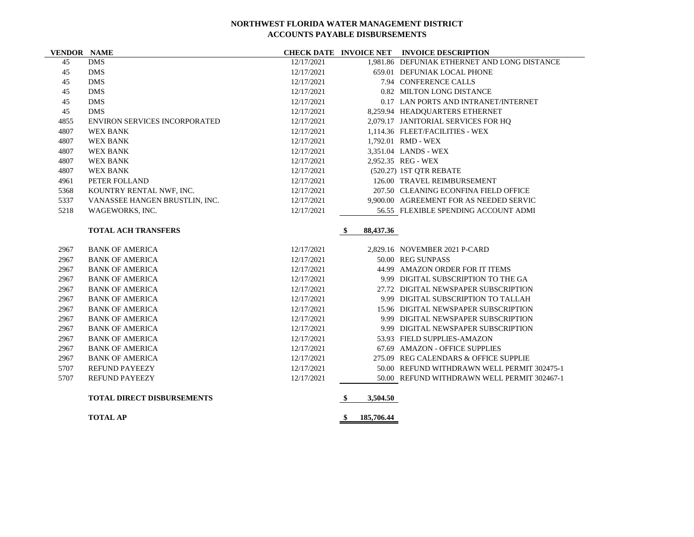**VENDOR NAME CHECK DATE INVOICE NET INVOICE DESCRIPTION**

| 45   | <b>DMS</b>             |                                      | 12/17/2021 |                  | 1.981.86 DEFUNIAK ETHERNET AND LONG DISTANCE |
|------|------------------------|--------------------------------------|------------|------------------|----------------------------------------------|
| 45   | <b>DMS</b>             |                                      | 12/17/2021 |                  | 659.01 DEFUNIAK LOCAL PHONE                  |
| 45   | <b>DMS</b>             |                                      | 12/17/2021 |                  | 7.94 CONFERENCE CALLS                        |
| 45   | <b>DMS</b>             |                                      | 12/17/2021 |                  | 0.82 MILTON LONG DISTANCE                    |
| 45   | <b>DMS</b>             |                                      | 12/17/2021 |                  | 0.17 LAN PORTS AND INTRANET/INTERNET         |
| 45   | <b>DMS</b>             |                                      | 12/17/2021 |                  | 8,259.94 HEADQUARTERS ETHERNET               |
| 4855 |                        | <b>ENVIRON SERVICES INCORPORATED</b> | 12/17/2021 |                  | 2,079.17 JANITORIAL SERVICES FOR HQ          |
| 4807 | <b>WEX BANK</b>        |                                      | 12/17/2021 |                  | 1,114.36 FLEET/FACILITIES - WEX              |
| 4807 | <b>WEX BANK</b>        |                                      | 12/17/2021 |                  | 1.792.01 RMD - WEX                           |
| 4807 | <b>WEX BANK</b>        |                                      | 12/17/2021 |                  | 3,351.04 LANDS - WEX                         |
| 4807 | <b>WEX BANK</b>        |                                      | 12/17/2021 |                  | 2,952.35 REG - WEX                           |
| 4807 | <b>WEX BANK</b>        |                                      | 12/17/2021 |                  | (520.27) IST QTR REBATE                      |
| 4961 | PETER FOLLAND          |                                      | 12/17/2021 |                  | 126.00 TRAVEL REIMBURSEMENT                  |
| 5368 |                        | KOUNTRY RENTAL NWF, INC.             | 12/17/2021 |                  | 207.50 CLEANING ECONFINA FIELD OFFICE        |
| 5337 |                        | VANASSEE HANGEN BRUSTLIN, INC.       | 12/17/2021 |                  | 9,900.00 AGREEMENT FOR AS NEEDED SERVIC      |
| 5218 | WAGEWORKS, INC.        |                                      | 12/17/2021 |                  | 56.55 FLEXIBLE SPENDING ACCOUNT ADMI         |
|      |                        |                                      |            |                  |                                              |
|      |                        | <b>TOTAL ACH TRANSFERS</b>           |            | 88,437.36<br>-\$ |                                              |
|      |                        |                                      |            |                  |                                              |
| 2967 | <b>BANK OF AMERICA</b> |                                      | 12/17/2021 |                  | 2.829.16 NOVEMBER 2021 P-CARD                |
| 2967 | <b>BANK OF AMERICA</b> |                                      | 12/17/2021 |                  | 50.00 REG SUNPASS                            |
| 2967 | <b>BANK OF AMERICA</b> |                                      | 12/17/2021 |                  | 44.99 AMAZON ORDER FOR IT ITEMS              |
| 2967 | <b>BANK OF AMERICA</b> |                                      | 12/17/2021 | 9.99             | DIGITAL SUBSCRIPTION TO THE GA               |
| 2967 | <b>BANK OF AMERICA</b> |                                      | 12/17/2021 |                  | 27.72 DIGITAL NEWSPAPER SUBSCRIPTION         |
| 2967 | <b>BANK OF AMERICA</b> |                                      | 12/17/2021 |                  | 9.99 DIGITAL SUBSCRIPTION TO TALLAH          |

2967 BANK OF AMERICA 12/17/2021 15.96 DIGITAL NEWSPAPER SUBSCRIPTION BANK OF AMERICA 12/17/2021 9.99 DIGITAL NEWSPAPER SUBSCRIPTION BANK OF AMERICA 12/17/2021 9.99 DIGITAL NEWSPAPER SUBSCRIPTION

|      | <b>TOTAL DIRECT DISBURSEMENTS</b> |            | 3,504.50 |                                             |
|------|-----------------------------------|------------|----------|---------------------------------------------|
| 5707 | REFUND PAYEEZY                    | 12/17/2021 |          | 50.00 REFUND WITHDRAWN WELL PERMIT 302467-1 |
| 5707 | REFUND PAYEEZY                    | 12/17/2021 |          | 50.00 REFUND WITHDRAWN WELL PERMIT 302475-1 |
| 2967 | BANK OF AMERICA                   | 12/17/2021 |          | 275.09 REG CALENDARS & OFFICE SUPPLIE       |
| 2967 | BANK OF AMERICA                   | 12/17/2021 |          | 67.69 AMAZON - OFFICE SUPPLIES              |

BANK OF AMERICA 12/17/2021 53.93 FIELD SUPPLIES-AMAZON

**TOTAL AP \$ 185,706.44**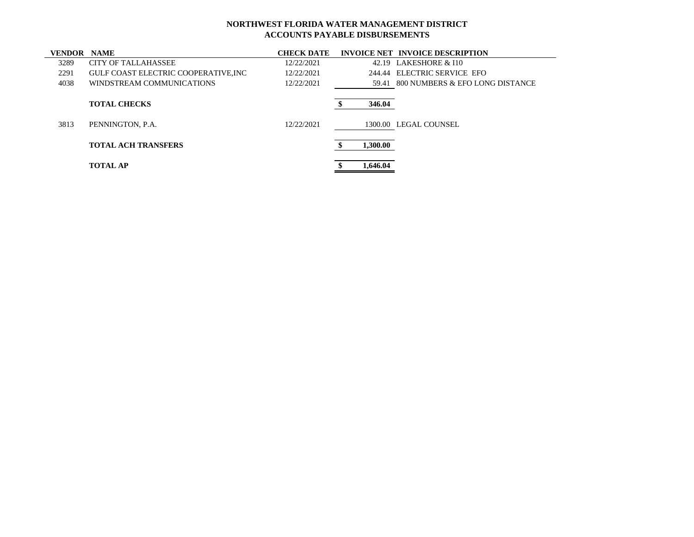| <b>VENDOR NAME</b> |                                            | <b>CHECK DATE</b> |          | <b>INVOICE NET INVOICE DESCRIPTION</b> |
|--------------------|--------------------------------------------|-------------------|----------|----------------------------------------|
| 3289               | <b>CITY OF TALLAHASSEE</b>                 | 12/22/2021        |          | 42.19 LAKESHORE & I10                  |
| 2291               | <b>GULF COAST ELECTRIC COOPERATIVE.INC</b> | 12/22/2021        |          | 244.44 ELECTRIC SERVICE EFO            |
| 4038               | WINDSTREAM COMMUNICATIONS                  | 12/22/2021        |          | 59.41 800 NUMBERS & EFO LONG DISTANCE  |
|                    | <b>TOTAL CHECKS</b>                        |                   | 346.04   |                                        |
| 3813               | PENNINGTON, P.A.                           | 12/22/2021        |          | 1300.00 LEGAL COUNSEL                  |
|                    | <b>TOTAL ACH TRANSFERS</b>                 |                   | 1,300.00 |                                        |
|                    | <b>TOTAL AP</b>                            |                   | 1,646.04 |                                        |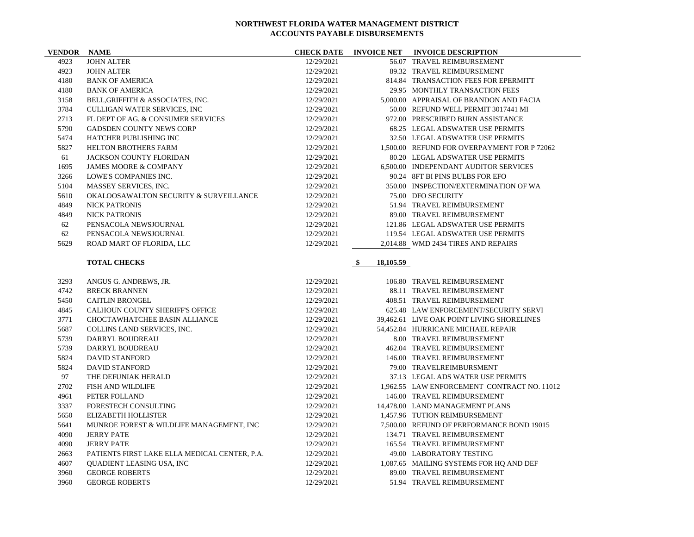| <b>VENDOR NAME</b> |                                                                        | <b>CHECK DATE</b>        |                 | INVOICE NET INVOICE DESCRIPTION                            |
|--------------------|------------------------------------------------------------------------|--------------------------|-----------------|------------------------------------------------------------|
| 4923               | <b>JOHN ALTER</b>                                                      | 12/29/2021               |                 | 56.07 TRAVEL REIMBURSEMENT                                 |
| 4923               | <b>JOHN ALTER</b>                                                      | 12/29/2021               |                 | 89.32 TRAVEL REIMBURSEMENT                                 |
| 4180               | <b>BANK OF AMERICA</b>                                                 | 12/29/2021               |                 | 814.84 TRANSACTION FEES FOR EPERMITT                       |
| 4180               | <b>BANK OF AMERICA</b>                                                 | 12/29/2021               |                 | 29.95 MONTHLY TRANSACTION FEES                             |
| 3158               | BELL, GRIFFITH & ASSOCIATES, INC.                                      | 12/29/2021               |                 | 5,000.00 APPRAISAL OF BRANDON AND FACIA                    |
| 3784               | CULLIGAN WATER SERVICES, INC                                           | 12/29/2021               |                 | 50.00 REFUND WELL PERMIT 3017441 MI                        |
| 2713               | FL DEPT OF AG. & CONSUMER SERVICES                                     | 12/29/2021               |                 | 972.00 PRESCRIBED BURN ASSISTANCE                          |
| 5790               | <b>GADSDEN COUNTY NEWS CORP</b>                                        | 12/29/2021               |                 | 68.25 LEGAL ADSWATER USE PERMITS                           |
| 5474               | HATCHER PUBLISHING INC                                                 | 12/29/2021               |                 | 32.50 LEGAL ADSWATER USE PERMITS                           |
| 5827               | HELTON BROTHERS FARM                                                   | 12/29/2021               |                 | 1,500.00 REFUND FOR OVERPAYMENT FOR P 72062                |
| 61                 | JACKSON COUNTY FLORIDAN                                                | 12/29/2021               |                 | 80.20 LEGAL ADSWATER USE PERMITS                           |
| 1695               | <b>JAMES MOORE &amp; COMPANY</b>                                       | 12/29/2021               |                 | 6,500.00 INDEPENDANT AUDITOR SERVICES                      |
| 3266               | LOWE'S COMPANIES INC.                                                  | 12/29/2021               |                 | 90.24 8FT BI PINS BULBS FOR EFO                            |
| 5104               | MASSEY SERVICES, INC.                                                  | 12/29/2021               |                 | 350.00 INSPECTION/EXTERMINATION OF WA                      |
| 5610               | OKALOOSAWALTON SECURITY & SURVEILLANCE                                 | 12/29/2021               |                 | 75.00 DFO SECURITY                                         |
| 4849               | <b>NICK PATRONIS</b>                                                   | 12/29/2021               |                 | 51.94 TRAVEL REIMBURSEMENT                                 |
| 4849               | <b>NICK PATRONIS</b>                                                   | 12/29/2021               |                 | 89.00 TRAVEL REIMBURSEMENT                                 |
| 62                 | PENSACOLA NEWSJOURNAL                                                  | 12/29/2021               |                 | 121.86 LEGAL ADSWATER USE PERMITS                          |
| 62                 | PENSACOLA NEWSJOURNAL                                                  | 12/29/2021               |                 | 119.54 LEGAL ADSWATER USE PERMITS                          |
| 5629               | ROAD MART OF FLORIDA, LLC                                              | 12/29/2021               |                 | 2,014.88 WMD 2434 TIRES AND REPAIRS                        |
|                    |                                                                        |                          |                 |                                                            |
|                    | <b>TOTAL CHECKS</b>                                                    |                          | \$<br>18,105.59 |                                                            |
| 3293               | ANGUS G. ANDREWS, JR.                                                  | 12/29/2021               |                 | 106.80 TRAVEL REIMBURSEMENT                                |
| 4742               | <b>BRECK BRANNEN</b>                                                   | 12/29/2021               |                 | 88.11 TRAVEL REIMBURSEMENT                                 |
| 5450               | <b>CAITLIN BRONGEL</b>                                                 | 12/29/2021               |                 | 408.51 TRAVEL REIMBURSEMENT                                |
| 4845               | <b>CALHOUN COUNTY SHERIFF'S OFFICE</b>                                 | 12/29/2021               |                 | 625.48 LAW ENFORCEMENT/SECURITY SERVI                      |
| 3771               | <b>CHOCTAWHATCHEE BASIN ALLIANCE</b>                                   | 12/29/2021               |                 | 39.462.61 LIVE OAK POINT LIVING SHORELINES                 |
| 5687               | COLLINS LAND SERVICES, INC.                                            | 12/29/2021               |                 | 54,452.84 HURRICANE MICHAEL REPAIR                         |
| 5739               | DARRYL BOUDREAU                                                        | 12/29/2021               |                 | 8.00 TRAVEL REIMBURSEMENT                                  |
| 5739               | DARRYL BOUDREAU                                                        | 12/29/2021               |                 | 462.04 TRAVEL REIMBURSEMENT                                |
| 5824               | <b>DAVID STANFORD</b>                                                  | 12/29/2021               |                 | 146.00 TRAVEL REIMBURSEMENT                                |
| 5824               | <b>DAVID STANFORD</b>                                                  | 12/29/2021               |                 | 79.00 TRAVELREIMBURSMENT                                   |
| 97                 | THE DEFUNIAK HERALD                                                    | 12/29/2021               |                 | 37.13 LEGAL ADS WATER USE PERMITS                          |
| 2702               | <b>FISH AND WILDLIFE</b>                                               | 12/29/2021               |                 | 1,962.55 LAW ENFORCEMENT CONTRACT NO. 11012                |
| 4961               | PETER FOLLAND                                                          | 12/29/2021               |                 | 146.00 TRAVEL REIMBURSEMENT                                |
| 3337               | FORESTECH CONSULTING                                                   | 12/29/2021               |                 | 14,478.00 LAND MANAGEMENT PLANS                            |
|                    |                                                                        |                          |                 | 1,457.96 TUTION REIMBURSEMENT                              |
| 5650<br>5641       | <b>ELIZABETH HOLLISTER</b><br>MUNROE FOREST & WILDLIFE MANAGEMENT, INC | 12/29/2021<br>12/29/2021 |                 | 7.500.00 REFUND OF PERFORMANCE BOND 19015                  |
|                    |                                                                        |                          |                 |                                                            |
| 4090               | <b>JERRY PATE</b><br><b>JERRY PATE</b>                                 | 12/29/2021               |                 | 134.71 TRAVEL REIMBURSEMENT<br>165.54 TRAVEL REIMBURSEMENT |
| 4090               |                                                                        | 12/29/2021               |                 |                                                            |
| 2663               | PATIENTS FIRST LAKE ELLA MEDICAL CENTER, P.A.                          | 12/29/2021               |                 | 49.00 LABORATORY TESTING                                   |
| 4607               | QUADIENT LEASING USA, INC                                              | 12/29/2021               |                 | 1,087.65 MAILING SYSTEMS FOR HQ AND DEF                    |
| 3960               | <b>GEORGE ROBERTS</b>                                                  | 12/29/2021               |                 | 89.00 TRAVEL REIMBURSEMENT                                 |
| 3960               | <b>GEORGE ROBERTS</b>                                                  | 12/29/2021               |                 | 51.94 TRAVEL REIMBURSEMENT                                 |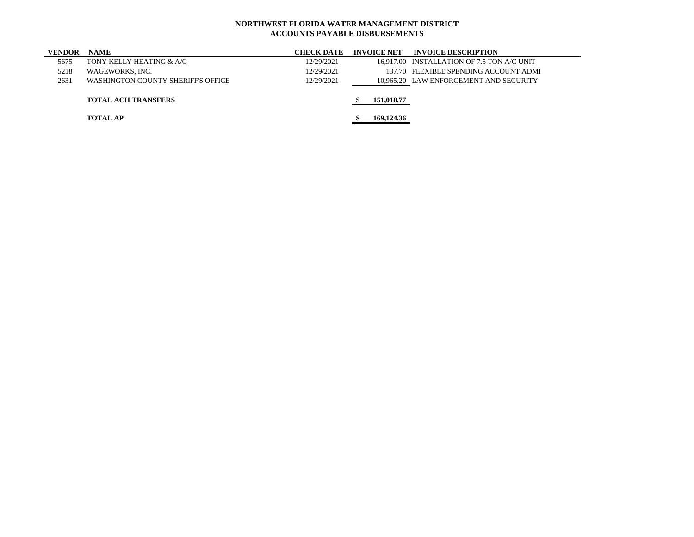| <b>NAME</b>                        | <b>CHECK DATE</b> | <b>INVOICE NET</b> | <b>INVOICE DESCRIPTION</b>                 |
|------------------------------------|-------------------|--------------------|--------------------------------------------|
| TONY KELLY HEATING & A/C           | 12/29/2021        |                    | 16,917.00 INSTALLATION OF 7.5 TON A/C UNIT |
| WAGEWORKS, INC.                    | 12/29/2021        |                    | 137.70 FLEXIBLE SPENDING ACCOUNT ADMI      |
| WASHINGTON COUNTY SHERIFF'S OFFICE | 12/29/2021        |                    | 10.965.20 LAW ENFORCEMENT AND SECURITY     |
|                                    |                   |                    |                                            |
| <b>TOTAL ACH TRANSFERS</b>         |                   | 151,018.77         |                                            |
|                                    |                   |                    |                                            |
| <b>TOTAL AP</b>                    |                   |                    |                                            |
|                                    |                   |                    | 169,124.36                                 |